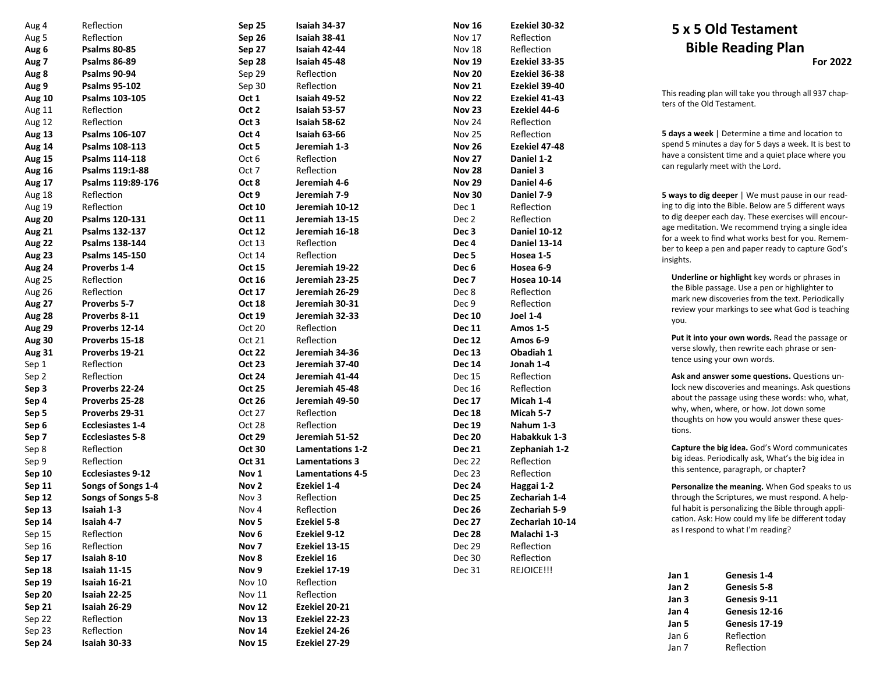| Aug 4         | Reflection               | Sep 25           | Isaiah 34-37            | <b>Nov 16</b>    | Ezekiel 30-32       |
|---------------|--------------------------|------------------|-------------------------|------------------|---------------------|
| Aug 5         | Reflection               | Sep 26           | Isaiah 38-41            | Nov 17           | Reflection          |
| Aug 6         | <b>Psalms 80-85</b>      | Sep 27           | Isaiah 42-44            | Nov 18           | Reflection          |
| Aug 7         | <b>Psalms 86-89</b>      | Sep 28           | Isaiah 45-48            | <b>Nov 19</b>    | Ezekiel 33-35       |
| Aug 8         | <b>Psalms 90-94</b>      | Sep 29           | Reflection              | <b>Nov 20</b>    | Ezekiel 36-38       |
| Aug 9         | <b>Psalms 95-102</b>     | Sep 30           | Reflection              | <b>Nov 21</b>    | Ezekiel 39-40       |
| <b>Aug 10</b> | Psalms 103-105           | Oct 1            | Isaiah 49-52            | <b>Nov 22</b>    | Ezekiel 41-43       |
| Aug 11        | Reflection               | Oct 2            | Isaiah 53-57            | <b>Nov 23</b>    | Ezekiel 44-6        |
| Aug 12        | Reflection               | Oct 3            | Isaiah 58-62            | Nov 24           | Reflection          |
| <b>Aug 13</b> | Psalms 106-107           | Oct 4            | Isaiah 63-66            | Nov 25           | Reflection          |
| Aug 14        | Psalms 108-113           | Oct 5            | Jeremiah 1-3            | <b>Nov 26</b>    | Ezekiel 47-48       |
| <b>Aug 15</b> | <b>Psalms 114-118</b>    | Oct 6            | Reflection              | <b>Nov 27</b>    | Daniel 1-2          |
| <b>Aug 16</b> | Psalms 119:1-88          | Oct 7            | Reflection              | <b>Nov 28</b>    | Daniel 3            |
| Aug 17        | Psalms 119:89-176        | Oct 8            | Jeremiah 4-6            | <b>Nov 29</b>    | Daniel 4-6          |
| Aug 18        | Reflection               | Oct 9            | Jeremiah 7-9            | <b>Nov 30</b>    | Daniel 7-9          |
| Aug 19        | Reflection               | Oct 10           | Jeremiah 10-12          | Dec 1            | Reflection          |
| <b>Aug 20</b> | Psalms 120-131           | Oct 11           | Jeremiah 13-15          | Dec 2            | Reflection          |
| Aug 21        | Psalms 132-137           | Oct 12           | Jeremiah 16-18          | Dec 3            | <b>Daniel 10-12</b> |
| Aug 22        | Psalms 138-144           | Oct 13           | Reflection              | Dec 4            | <b>Daniel 13-14</b> |
| Aug 23        | Psalms 145-150           | Oct 14           | Reflection              | Dec <sub>5</sub> | Hosea 1-5           |
| Aug 24        | Proverbs 1-4             | <b>Oct 15</b>    | Jeremiah 19-22          | Dec <sub>6</sub> | Hosea 6-9           |
| Aug 25        | Reflection               | Oct 16           | Jeremiah 23-25          | Dec 7            | <b>Hosea 10-14</b>  |
| Aug 26        | Reflection               | Oct 17           | Jeremiah 26-29          | Dec 8            | Reflection          |
| Aug 27        | Proverbs 5-7             | <b>Oct 18</b>    | Jeremiah 30-31          | Dec 9            | Reflection          |
| Aug 28        | Proverbs 8-11            | Oct 19           | Jeremiah 32-33          | <b>Dec 10</b>    | <b>Joel 1-4</b>     |
| Aug 29        | Proverbs 12-14           | Oct 20           | Reflection              | <b>Dec 11</b>    | <b>Amos 1-5</b>     |
| <b>Aug 30</b> | Proverbs 15-18           | Oct 21           | Reflection              | <b>Dec 12</b>    | Amos 6-9            |
| <b>Aug 31</b> | Proverbs 19-21           | <b>Oct 22</b>    | Jeremiah 34-36          | <b>Dec 13</b>    | Obadiah 1           |
| Sep 1         | Reflection               | <b>Oct 23</b>    | Jeremiah 37-40          | <b>Dec 14</b>    | Jonah 1-4           |
| Sep 2         | Reflection               | <b>Oct 24</b>    | Jeremiah 41-44          | Dec 15           | Reflection          |
| Sep 3         | Proverbs 22-24           | <b>Oct 25</b>    | Jeremiah 45-48          | Dec 16           | Reflection          |
| Sep 4         | Proverbs 25-28           | <b>Oct 26</b>    | Jeremiah 49-50          | <b>Dec 17</b>    | Micah 1-4           |
| Sep 5         | Proverbs 29-31           | Oct 27           | Reflection              | <b>Dec 18</b>    | Micah 5-7           |
| Sep 6         | <b>Ecclesiastes 1-4</b>  | Oct 28           | Reflection              | <b>Dec 19</b>    | Nahum 1-3           |
| Sep 7         | <b>Ecclesiastes 5-8</b>  | <b>Oct 29</b>    | Jeremiah 51-52          | <b>Dec 20</b>    | Habakkuk 1-3        |
| Sep 8         | Reflection               | <b>Oct 30</b>    | Lamentations 1-2        | <b>Dec 21</b>    | Zephaniah 1-2       |
| Sep 9         | Reflection               | Oct 31           | <b>Lamentations 3</b>   | Dec 22           | Reflection          |
| <b>Sep 10</b> | <b>Ecclesiastes 9-12</b> | Nov 1            | <b>Lamentations 4-5</b> | Dec 23           | Reflection          |
| <b>Sep 11</b> | Songs of Songs 1-4       | Nov <sub>2</sub> | <b>Ezekiel 1-4</b>      | <b>Dec 24</b>    | Haggai 1-2          |
| <b>Sep 12</b> | Songs of Songs 5-8       | Nov 3            | Reflection              | <b>Dec 25</b>    | Zechariah 1-4       |
| Sep 13        | Isaiah 1-3               | Nov 4            | Reflection              | <b>Dec 26</b>    | Zechariah 5-9       |
| <b>Sep 14</b> | Isaiah 4-7               | Nov <sub>5</sub> | Ezekiel 5-8             | <b>Dec 27</b>    | Zechariah 10-14     |
| Sep 15        | Reflection               | Nov <sub>6</sub> | Ezekiel 9-12            | <b>Dec 28</b>    | Malachi 1-3         |
| Sep 16        | Reflection               | Nov <sub>7</sub> | Ezekiel 13-15           | Dec 29           | Reflection          |
| Sep 17        | Isaiah 8-10              | Nov 8            | <b>Ezekiel 16</b>       | Dec 30           | Reflection          |
| Sep 18        | Isaiah 11-15             | Nov 9            | Ezekiel 17-19           | Dec 31           | REJOICE!!!          |
| <b>Sep 19</b> | Isaiah 16-21             | <b>Nov 10</b>    | Reflection              |                  |                     |
| Sep 20        | Isaiah 22-25             | Nov 11           | Reflection              |                  |                     |
| Sep 21        | Isaiah 26-29             | <b>Nov 12</b>    | Ezekiel 20-21           |                  |                     |
| Sep 22        | Reflection               | <b>Nov 13</b>    | Ezekiel 22-23           |                  |                     |
| Sep 23        | Reflection               | <b>Nov 14</b>    | Ezekiel 24-26           |                  |                     |
| Sep 24        | Isaiah 30-33             | <b>Nov 15</b>    | Ezekiel 27-29           |                  |                     |

## **5 x 5 Old Testament Bible Reading Plan For 2022**

This reading plan will take you through all 937 chapters of the Old Testament.

**5 days a week** | Determine a time and location to spend 5 minutes a day for 5 days a week. It is best to have a consistent time and a quiet place where you can regularly meet with the Lord.

**5 ways to dig deeper** | We must pause in our reading to dig into the Bible. Below are 5 different ways to dig deeper each day. These exercises will encourage meditation. We recommend trying a single idea for a week to find what works best for you. Remember to keep a pen and paper ready to capture God's insights.

**Underline or highlight** key words or phrases in the Bible passage. Use a pen or highlighter to mark new discoveries from the text. Periodically review your markings to see what God is teaching you.

**Put it into your own words.** Read the passage or verse slowly, then rewrite each phrase or sentence using your own words.

**Ask and answer some questions.** Questions unlock new discoveries and meanings. Ask questions about the passage using these words: who, what, why, when, where, or how. Jot down some thoughts on how you would answer these questions.

**Capture the big idea.** God 's Word communicates big ideas. Periodically ask, What 's the big idea in this sentence, paragraph, or chapter?

**Personalize the meaning.** When God speaks to us through the Scriptures, we must respond. A helpful habit is personalizing the Bible through application. Ask: How could my life be different today as I respond to what I 'm reading?

| Jan 1 | Genesis 1-4   |
|-------|---------------|
| Jan 2 | Genesis 5-8   |
| Jan 3 | Genesis 9-11  |
| Jan 4 | Genesis 12-16 |
| Jan 5 | Genesis 17-19 |
| Jan 6 | Reflection    |
| Jan 7 | Reflection    |
|       |               |